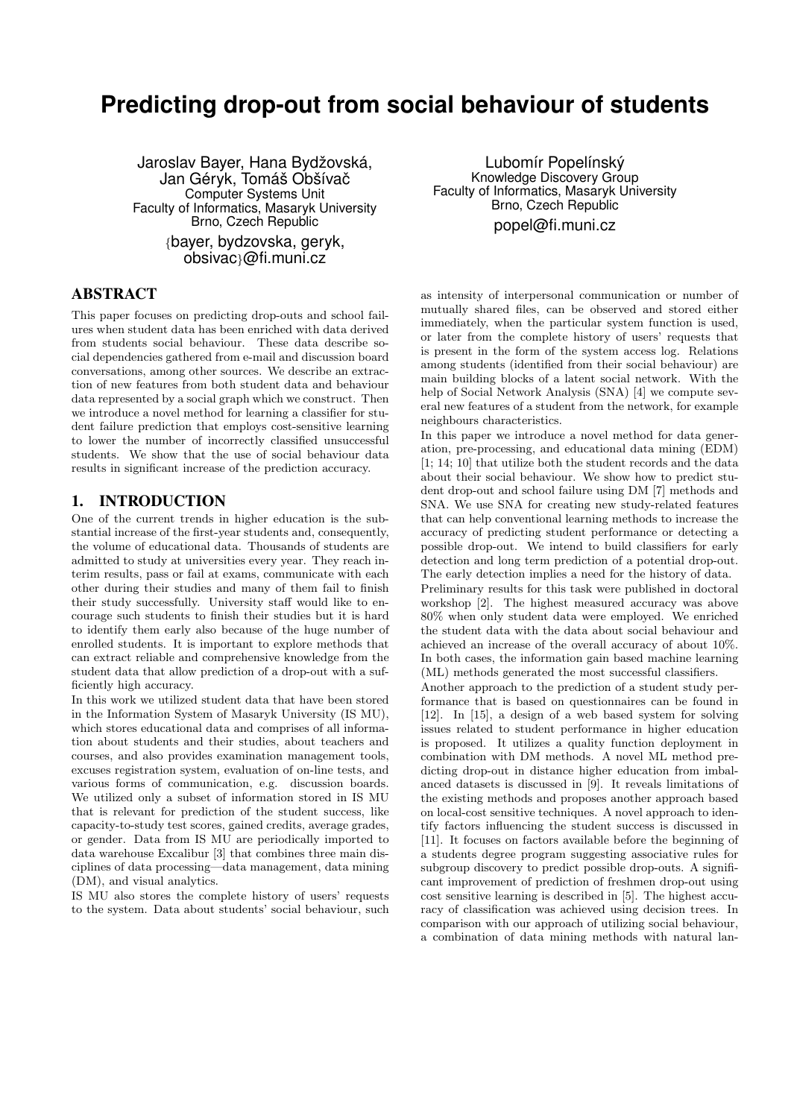# **Predicting drop-out from social behaviour of students**

Jaroslav Bayer, Hana Bydžovská, Jan Géryk, Tomáš Obšívač Computer Systems Unit Faculty of Informatics, Masaryk University Brno, Czech Republic

{bayer, bydzovska, geryk, obsivac}@fi.muni.cz

#### ABSTRACT

This paper focuses on predicting drop-outs and school failures when student data has been enriched with data derived from students social behaviour. These data describe social dependencies gathered from e-mail and discussion board conversations, among other sources. We describe an extraction of new features from both student data and behaviour data represented by a social graph which we construct. Then we introduce a novel method for learning a classifier for student failure prediction that employs cost-sensitive learning to lower the number of incorrectly classified unsuccessful students. We show that the use of social behaviour data results in significant increase of the prediction accuracy.

## 1. INTRODUCTION

One of the current trends in higher education is the substantial increase of the first-year students and, consequently, the volume of educational data. Thousands of students are admitted to study at universities every year. They reach interim results, pass or fail at exams, communicate with each other during their studies and many of them fail to finish their study successfully. University staff would like to encourage such students to finish their studies but it is hard to identify them early also because of the huge number of enrolled students. It is important to explore methods that can extract reliable and comprehensive knowledge from the student data that allow prediction of a drop-out with a sufficiently high accuracy.

In this work we utilized student data that have been stored in the Information System of Masaryk University (IS MU), which stores educational data and comprises of all information about students and their studies, about teachers and courses, and also provides examination management tools, excuses registration system, evaluation of on-line tests, and various forms of communication, e.g. discussion boards. We utilized only a subset of information stored in IS MU that is relevant for prediction of the student success, like capacity-to-study test scores, gained credits, average grades, or gender. Data from IS MU are periodically imported to data warehouse Excalibur [3] that combines three main disciplines of data processing—data management, data mining (DM), and visual analytics.

IS MU also stores the complete history of users' requests to the system. Data about students' social behaviour, such

Lubomír Popelínský Knowledge Discovery Group Faculty of Informatics, Masaryk University Brno, Czech Republic popel@fi.muni.cz

as intensity of interpersonal communication or number of mutually shared files, can be observed and stored either immediately, when the particular system function is used, or later from the complete history of users' requests that is present in the form of the system access log. Relations among students (identified from their social behaviour) are main building blocks of a latent social network. With the help of Social Network Analysis (SNA) [4] we compute several new features of a student from the network, for example neighbours characteristics.

In this paper we introduce a novel method for data generation, pre-processing, and educational data mining (EDM) [1; 14; 10] that utilize both the student records and the data about their social behaviour. We show how to predict student drop-out and school failure using DM [7] methods and SNA. We use SNA for creating new study-related features that can help conventional learning methods to increase the accuracy of predicting student performance or detecting a possible drop-out. We intend to build classifiers for early detection and long term prediction of a potential drop-out. The early detection implies a need for the history of data. Preliminary results for this task were published in doctoral workshop [2]. The highest measured accuracy was above 80% when only student data were employed. We enriched the student data with the data about social behaviour and achieved an increase of the overall accuracy of about 10%. In both cases, the information gain based machine learning (ML) methods generated the most successful classifiers.

Another approach to the prediction of a student study performance that is based on questionnaires can be found in [12]. In [15], a design of a web based system for solving issues related to student performance in higher education is proposed. It utilizes a quality function deployment in combination with DM methods. A novel ML method predicting drop-out in distance higher education from imbalanced datasets is discussed in [9]. It reveals limitations of the existing methods and proposes another approach based on local-cost sensitive techniques. A novel approach to identify factors influencing the student success is discussed in [11]. It focuses on factors available before the beginning of a students degree program suggesting associative rules for subgroup discovery to predict possible drop-outs. A significant improvement of prediction of freshmen drop-out using cost sensitive learning is described in [5]. The highest accuracy of classification was achieved using decision trees. In comparison with our approach of utilizing social behaviour, a combination of data mining methods with natural lan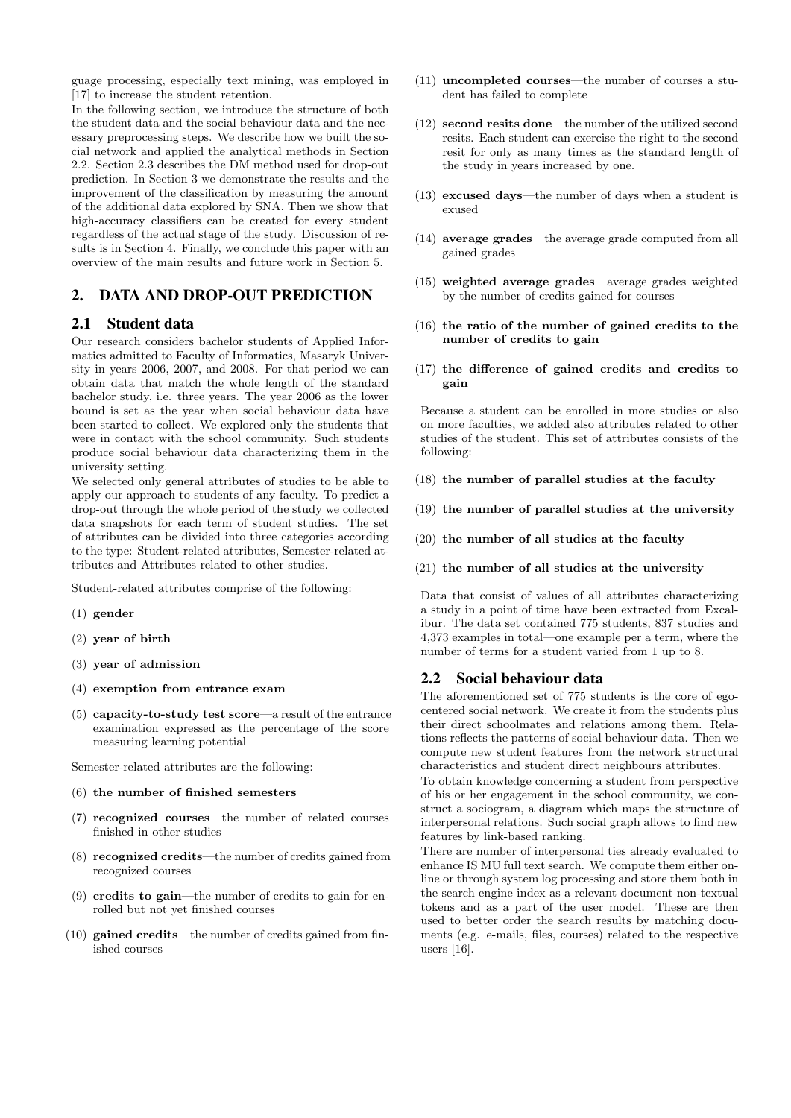guage processing, especially text mining, was employed in [17] to increase the student retention.

In the following section, we introduce the structure of both the student data and the social behaviour data and the necessary preprocessing steps. We describe how we built the social network and applied the analytical methods in Section 2.2. Section 2.3 describes the DM method used for drop-out prediction. In Section 3 we demonstrate the results and the improvement of the classification by measuring the amount of the additional data explored by SNA. Then we show that high-accuracy classifiers can be created for every student regardless of the actual stage of the study. Discussion of results is in Section 4. Finally, we conclude this paper with an overview of the main results and future work in Section 5.

# 2. DATA AND DROP-OUT PREDICTION

### 2.1 Student data

Our research considers bachelor students of Applied Informatics admitted to Faculty of Informatics, Masaryk University in years 2006, 2007, and 2008. For that period we can obtain data that match the whole length of the standard bachelor study, i.e. three years. The year 2006 as the lower bound is set as the year when social behaviour data have been started to collect. We explored only the students that were in contact with the school community. Such students produce social behaviour data characterizing them in the university setting.

We selected only general attributes of studies to be able to apply our approach to students of any faculty. To predict a drop-out through the whole period of the study we collected data snapshots for each term of student studies. The set of attributes can be divided into three categories according to the type: Student-related attributes, Semester-related attributes and Attributes related to other studies.

Student-related attributes comprise of the following:

- (1) gender
- (2) year of birth
- (3) year of admission
- (4) exemption from entrance exam
- (5) capacity-to-study test score—a result of the entrance examination expressed as the percentage of the score measuring learning potential

Semester-related attributes are the following:

- (6) the number of finished semesters
- (7) recognized courses—the number of related courses finished in other studies
- (8) recognized credits—the number of credits gained from recognized courses
- (9) credits to gain—the number of credits to gain for enrolled but not yet finished courses
- (10) gained credits—the number of credits gained from finished courses
- (11) uncompleted courses—the number of courses a student has failed to complete
- (12) second resits done—the number of the utilized second resits. Each student can exercise the right to the second resit for only as many times as the standard length of the study in years increased by one.
- (13) excused days—the number of days when a student is exused
- (14) average grades—the average grade computed from all gained grades
- (15) weighted average grades—average grades weighted by the number of credits gained for courses
- (16) the ratio of the number of gained credits to the number of credits to gain
- (17) the difference of gained credits and credits to gain

Because a student can be enrolled in more studies or also on more faculties, we added also attributes related to other studies of the student. This set of attributes consists of the following:

- (18) the number of parallel studies at the faculty
- (19) the number of parallel studies at the university
- (20) the number of all studies at the faculty
- (21) the number of all studies at the university

Data that consist of values of all attributes characterizing a study in a point of time have been extracted from Excalibur. The data set contained 775 students, 837 studies and 4,373 examples in total—one example per a term, where the number of terms for a student varied from 1 up to 8.

#### 2.2 Social behaviour data

The aforementioned set of 775 students is the core of egocentered social network. We create it from the students plus their direct schoolmates and relations among them. Relations reflects the patterns of social behaviour data. Then we compute new student features from the network structural characteristics and student direct neighbours attributes.

To obtain knowledge concerning a student from perspective of his or her engagement in the school community, we construct a sociogram, a diagram which maps the structure of interpersonal relations. Such social graph allows to find new features by link-based ranking.

There are number of interpersonal ties already evaluated to enhance IS MU full text search. We compute them either online or through system log processing and store them both in the search engine index as a relevant document non-textual tokens and as a part of the user model. These are then used to better order the search results by matching documents (e.g. e-mails, files, courses) related to the respective users [16].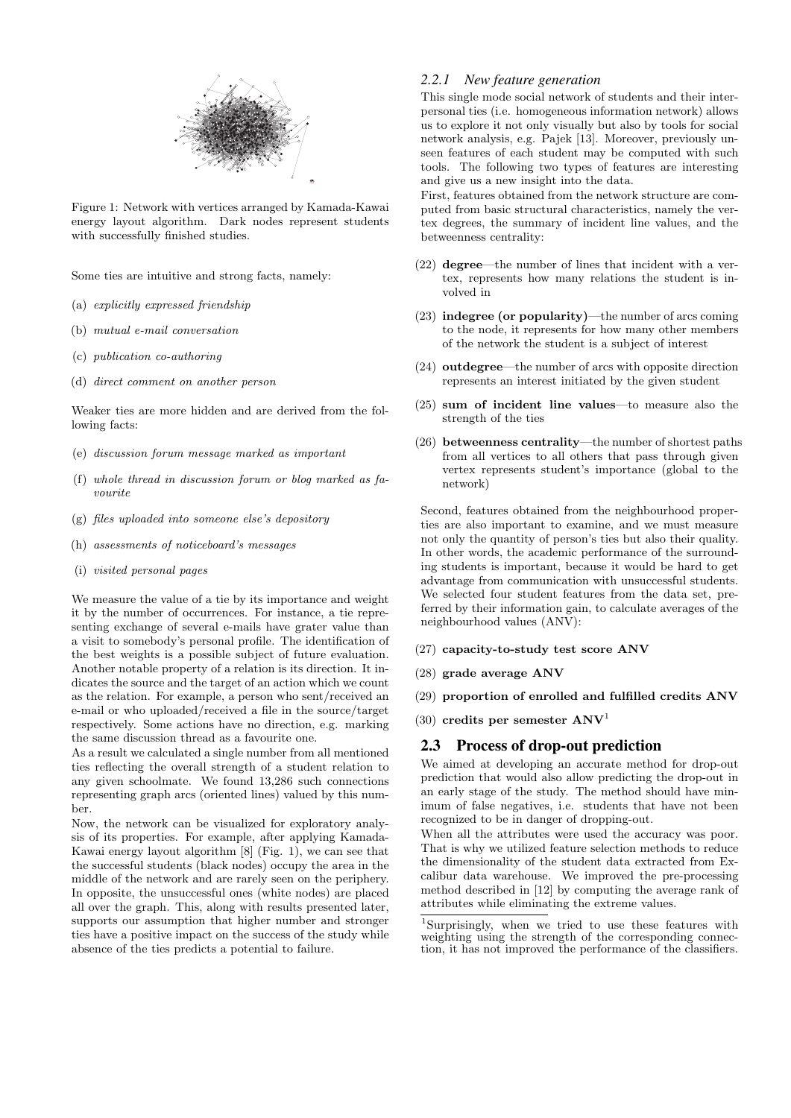

Figure 1: Network with vertices arranged by Kamada-Kawai energy layout algorithm. Dark nodes represent students with successfully finished studies.

Some ties are intuitive and strong facts, namely:

- (a) explicitly expressed friendship
- (b) mutual e-mail conversation
- (c) publication co-authoring
- (d) direct comment on another person

Weaker ties are more hidden and are derived from the following facts:

- (e) discussion forum message marked as important
- (f) whole thread in discussion forum or blog marked as favourite
- (g) files uploaded into someone else's depository
- (h) assessments of noticeboard's messages
- (i) visited personal pages

We measure the value of a tie by its importance and weight it by the number of occurrences. For instance, a tie representing exchange of several e-mails have grater value than a visit to somebody's personal profile. The identification of the best weights is a possible subject of future evaluation. Another notable property of a relation is its direction. It indicates the source and the target of an action which we count as the relation. For example, a person who sent/received an e-mail or who uploaded/received a file in the source/target respectively. Some actions have no direction, e.g. marking the same discussion thread as a favourite one.

As a result we calculated a single number from all mentioned ties reflecting the overall strength of a student relation to any given schoolmate. We found 13,286 such connections representing graph arcs (oriented lines) valued by this number.

Now, the network can be visualized for exploratory analysis of its properties. For example, after applying Kamada-Kawai energy layout algorithm [8] (Fig. 1), we can see that the successful students (black nodes) occupy the area in the middle of the network and are rarely seen on the periphery. In opposite, the unsuccessful ones (white nodes) are placed all over the graph. This, along with results presented later, supports our assumption that higher number and stronger ties have a positive impact on the success of the study while absence of the ties predicts a potential to failure.

#### *2.2.1 New feature generation*

This single mode social network of students and their interpersonal ties (i.e. homogeneous information network) allows us to explore it not only visually but also by tools for social network analysis, e.g. Pajek [13]. Moreover, previously unseen features of each student may be computed with such tools. The following two types of features are interesting and give us a new insight into the data.

First, features obtained from the network structure are computed from basic structural characteristics, namely the vertex degrees, the summary of incident line values, and the betweenness centrality:

- (22) degree—the number of lines that incident with a vertex, represents how many relations the student is involved in
- (23) indegree (or popularity)—the number of arcs coming to the node, it represents for how many other members of the network the student is a subject of interest
- (24) outdegree—the number of arcs with opposite direction represents an interest initiated by the given student
- (25) sum of incident line values—to measure also the strength of the ties
- (26) betweenness centrality—the number of shortest paths from all vertices to all others that pass through given vertex represents student's importance (global to the network)

Second, features obtained from the neighbourhood properties are also important to examine, and we must measure not only the quantity of person's ties but also their quality. In other words, the academic performance of the surrounding students is important, because it would be hard to get advantage from communication with unsuccessful students. We selected four student features from the data set, preferred by their information gain, to calculate averages of the neighbourhood values (ANV):

- (27) capacity-to-study test score ANV
- (28) grade average ANV
- (29) proportion of enrolled and fulfilled credits ANV
- (30) credits per semester  $\bf{A}$ NV<sup>1</sup>

#### 2.3 Process of drop-out prediction

We aimed at developing an accurate method for drop-out prediction that would also allow predicting the drop-out in an early stage of the study. The method should have minimum of false negatives, i.e. students that have not been recognized to be in danger of dropping-out.

When all the attributes were used the accuracy was poor. That is why we utilized feature selection methods to reduce the dimensionality of the student data extracted from Excalibur data warehouse. We improved the pre-processing method described in [12] by computing the average rank of attributes while eliminating the extreme values.

<sup>1</sup>Surprisingly, when we tried to use these features with weighting using the strength of the corresponding connection, it has not improved the performance of the classifiers.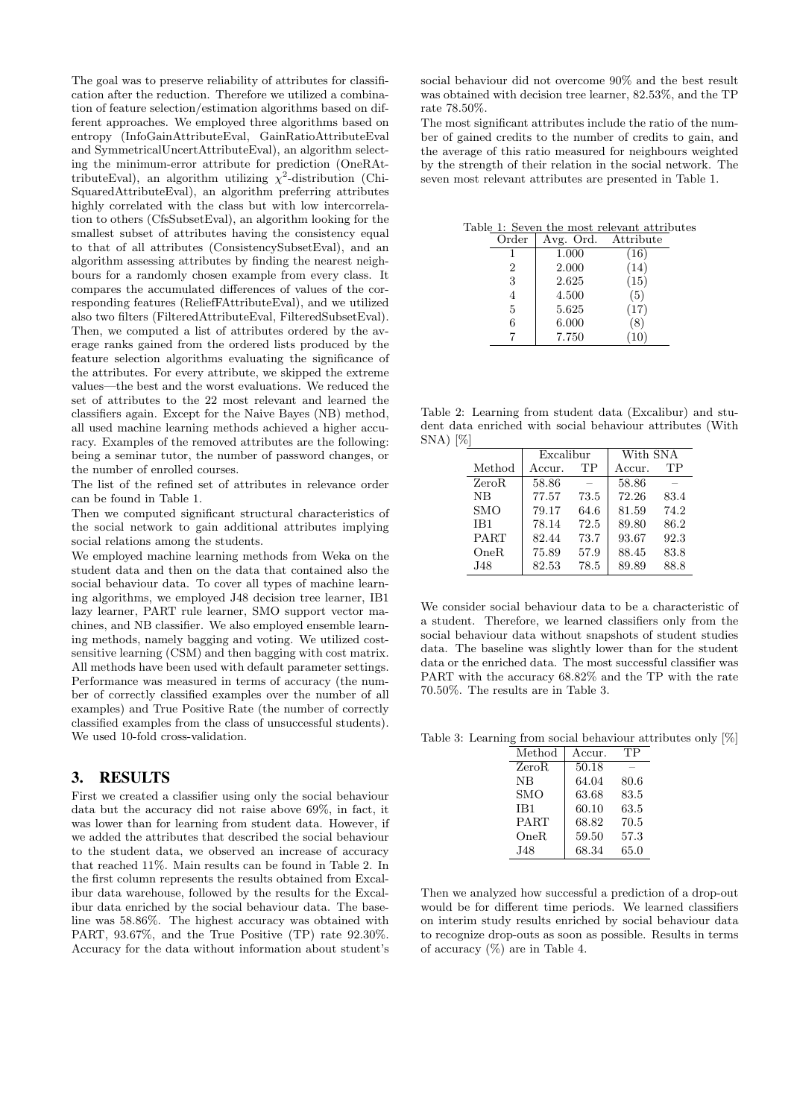The goal was to preserve reliability of attributes for classification after the reduction. Therefore we utilized a combination of feature selection/estimation algorithms based on different approaches. We employed three algorithms based on entropy (InfoGainAttributeEval, GainRatioAttributeEval and SymmetricalUncertAttributeEval), an algorithm selecting the minimum-error attribute for prediction (OneRAttributeEval), an algorithm utilizing  $\chi^2$ -distribution (Chi-SquaredAttributeEval), an algorithm preferring attributes highly correlated with the class but with low intercorrelation to others (CfsSubsetEval), an algorithm looking for the smallest subset of attributes having the consistency equal to that of all attributes (ConsistencySubsetEval), and an algorithm assessing attributes by finding the nearest neighbours for a randomly chosen example from every class. It compares the accumulated differences of values of the corresponding features (ReliefFAttributeEval), and we utilized also two filters (FilteredAttributeEval, FilteredSubsetEval). Then, we computed a list of attributes ordered by the average ranks gained from the ordered lists produced by the feature selection algorithms evaluating the significance of the attributes. For every attribute, we skipped the extreme values—the best and the worst evaluations. We reduced the set of attributes to the 22 most relevant and learned the classifiers again. Except for the Naive Bayes (NB) method, all used machine learning methods achieved a higher accuracy. Examples of the removed attributes are the following: being a seminar tutor, the number of password changes, or the number of enrolled courses.

The list of the refined set of attributes in relevance order can be found in Table 1.

Then we computed significant structural characteristics of the social network to gain additional attributes implying social relations among the students.

We employed machine learning methods from Weka on the student data and then on the data that contained also the social behaviour data. To cover all types of machine learning algorithms, we employed J48 decision tree learner, IB1 lazy learner, PART rule learner, SMO support vector machines, and NB classifier. We also employed ensemble learning methods, namely bagging and voting. We utilized costsensitive learning (CSM) and then bagging with cost matrix. All methods have been used with default parameter settings. Performance was measured in terms of accuracy (the number of correctly classified examples over the number of all examples) and True Positive Rate (the number of correctly classified examples from the class of unsuccessful students). We used 10-fold cross-validation.

#### 3. RESULTS

First we created a classifier using only the social behaviour data but the accuracy did not raise above 69%, in fact, it was lower than for learning from student data. However, if we added the attributes that described the social behaviour to the student data, we observed an increase of accuracy that reached 11%. Main results can be found in Table 2. In the first column represents the results obtained from Excalibur data warehouse, followed by the results for the Excalibur data enriched by the social behaviour data. The baseline was 58.86%. The highest accuracy was obtained with PART, 93.67%, and the True Positive (TP) rate 92.30%. Accuracy for the data without information about student's social behaviour did not overcome 90% and the best result was obtained with decision tree learner, 82.53%, and the TP rate 78.50%.

The most significant attributes include the ratio of the number of gained credits to the number of credits to gain, and the average of this ratio measured for neighbours weighted by the strength of their relation in the social network. The seven most relevant attributes are presented in Table 1.

Table 1: Seven the most relevant attributes

| Order          | Avg. Ord. | Attribute |
|----------------|-----------|-----------|
| 1              | 1.000     | (16)      |
| $\overline{2}$ | 2.000     | (14)      |
| 3              | 2.625     | (15)      |
| $\overline{4}$ | 4.500     | (5)       |
| 5              | 5.625     | (17)      |
| 6              | 6.000     | (8)       |
|                | 7.750     | (10)      |

Table 2: Learning from student data (Excalibur) and student data enriched with social behaviour attributes (With SNA) [%]

|             | Excalibur |      | With SNA |      |  |  |  |
|-------------|-----------|------|----------|------|--|--|--|
| Method      | Accur.    | TP   | Accur.   | TP   |  |  |  |
| ZeroR       | 58.86     |      | 58.86    |      |  |  |  |
| <b>NB</b>   | 77.57     | 73.5 | 72.26    | 83.4 |  |  |  |
| <b>SMO</b>  | 79.17     | 64.6 | 81.59    | 74.2 |  |  |  |
| IB1         | 78.14     | 72.5 | 89.80    | 86.2 |  |  |  |
| <b>PART</b> | 82.44     | 73.7 | 93.67    | 92.3 |  |  |  |
| OneR        | 75.89     | 57.9 | 88.45    | 83.8 |  |  |  |
| J48         | 82.53     | 78.5 | 89.89    | 88.8 |  |  |  |

We consider social behaviour data to be a characteristic of a student. Therefore, we learned classifiers only from the social behaviour data without snapshots of student studies data. The baseline was slightly lower than for the student data or the enriched data. The most successful classifier was PART with the accuracy 68.82% and the TP with the rate 70.50%. The results are in Table 3.

Table 3: Learning from social behaviour attributes only [%]

| Method          | Accur. | TР   |
|-----------------|--------|------|
| ZeroR           | 50.18  |      |
| NB              | 64.04  | 80.6 |
| SMO             | 63.68  | 83.5 |
| IB <sub>1</sub> | 60.10  | 63.5 |
| PART            | 68.82  | 70.5 |
| OneR            | 59.50  | 57.3 |
| J48.            | 68.34  | 65.0 |

Then we analyzed how successful a prediction of a drop-out would be for different time periods. We learned classifiers on interim study results enriched by social behaviour data to recognize drop-outs as soon as possible. Results in terms of accuracy (%) are in Table 4.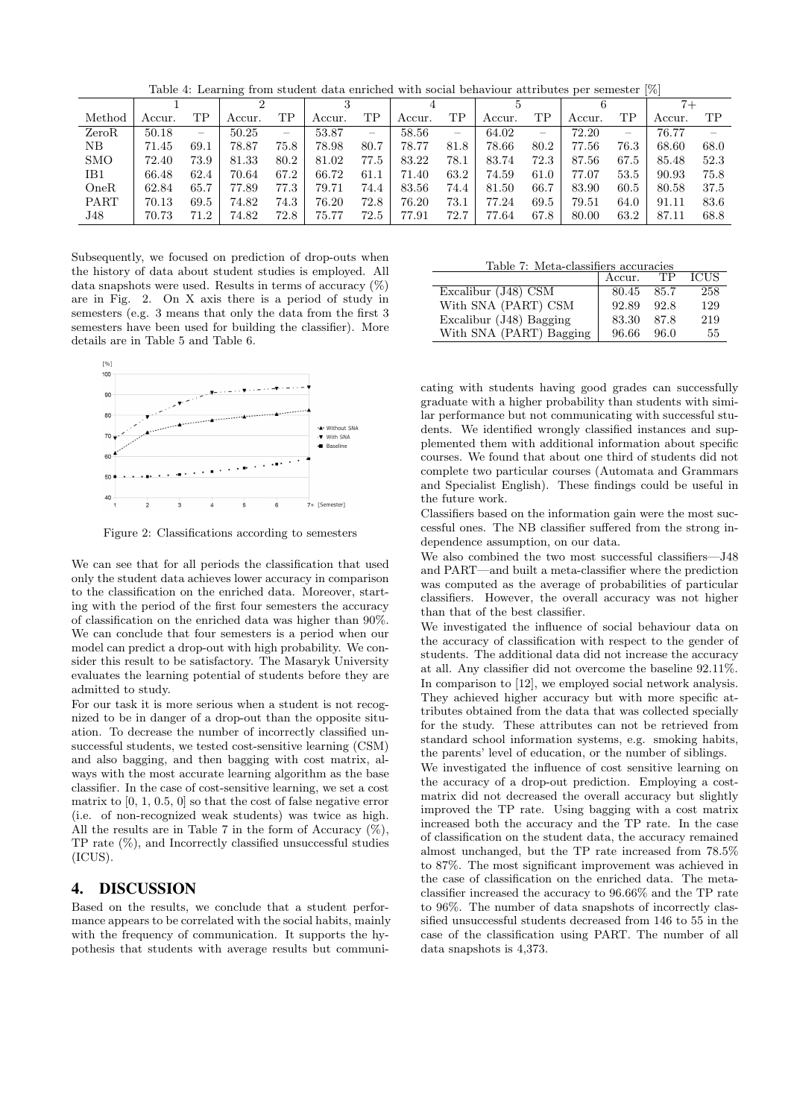Table 4: Learning from student data enriched with social behaviour attributes per semester [%]

|            |        |      |        |      |        |      |        |                          |        |      |        |                          |        | $7+$ |
|------------|--------|------|--------|------|--------|------|--------|--------------------------|--------|------|--------|--------------------------|--------|------|
| Method     | Accur. | TΡ   | Accur. | TΡ   | Accur. | ΤP   | Accur. | TΡ                       | Accur. | ΤP   | Accur. | ΤP                       | Accur. | ТP   |
| ZeroR      | 50.18  |      | 50.25  | -    | 53.87  | -    | 58.56  | $\overline{\phantom{m}}$ | 64.02  |      | 72.20  | $\overline{\phantom{m}}$ | 76.77  |      |
| NΒ         | 71.45  | 69.1 | 78.87  | 75.8 | 78.98  | 80.7 | 78.77  | 81.8                     | 78.66  | 80.2 | 77.56  | 76.3                     | 68.60  | 68.0 |
| <b>SMO</b> | 72.40  | 73.9 | 81.33  | 80.2 | 81.02  | 77.5 | 83.22  | 78.1                     | 83.74  | 72.3 | 87.56  | 67.5                     | 85.48  | 52.3 |
| IB1        | 66.48  | 62.4 | 70.64  | 67.2 | 66.72  | 61.1 | 71.40  | 63.2                     | 74.59  | 61.0 | 77.07  | 53.5                     | 90.93  | 75.8 |
| OneR       | 62.84  | 65.7 | 77.89  | 77.3 | 79.71  | 74.4 | 83.56  | 74.4                     | 81.50  | 66.7 | 83.90  | 60.5                     | 80.58  | 37.5 |
| PART       | 70.13  | 69.5 | 74.82  | 74.3 | 76.20  | 72.8 | 76.20  | 73.1                     | 77.24  | 69.5 | 79.51  | 64.0                     | 91.11  | 83.6 |
| J48        | 70.73  | 71.2 | 74.82  | 72.8 | 75.77  | 72.5 | 77.91  | 72.7                     | 77.64  | 67.8 | 80.00  | 63.2                     | 87.11  | 68.8 |

Subsequently, we focused on prediction of drop-outs when the history of data about student studies is employed. All data snapshots were used. Results in terms of accuracy  $(\%)$ are in Fig. 2. On X axis there is a period of study in semesters (e.g. 3 means that only the data from the first 3 semesters have been used for building the classifier). More details are in Table 5 and Table 6.



Figure 2: Classifications according to semesters

We can see that for all periods the classification that used only the student data achieves lower accuracy in comparison to the classification on the enriched data. Moreover, starting with the period of the first four semesters the accuracy of classification on the enriched data was higher than 90%. We can conclude that four semesters is a period when our model can predict a drop-out with high probability. We consider this result to be satisfactory. The Masaryk University evaluates the learning potential of students before they are admitted to study.

For our task it is more serious when a student is not recognized to be in danger of a drop-out than the opposite situation. To decrease the number of incorrectly classified unsuccessful students, we tested cost-sensitive learning (CSM) and also bagging, and then bagging with cost matrix, always with the most accurate learning algorithm as the base classifier. In the case of cost-sensitive learning, we set a cost matrix to [0, 1, 0.5, 0] so that the cost of false negative error (i.e. of non-recognized weak students) was twice as high. All the results are in Table 7 in the form of Accuracy  $(\%)$ , TP rate (%), and Incorrectly classified unsuccessful studies (ICUS).

#### 4. DISCUSSION

Based on the results, we conclude that a student performance appears to be correlated with the social habits, mainly with the frequency of communication. It supports the hypothesis that students with average results but communi-

| Table 7: Meta-classifiers accuracies |        |           |             |  |  |  |  |  |  |  |  |
|--------------------------------------|--------|-----------|-------------|--|--|--|--|--|--|--|--|
|                                      | Accur. | <b>TP</b> | <b>ICUS</b> |  |  |  |  |  |  |  |  |
| Excalibur (J48) CSM                  | 80.45  | 85.7      | 258         |  |  |  |  |  |  |  |  |
| With SNA (PART) CSM                  | 92.89  | 92.8      | 129         |  |  |  |  |  |  |  |  |
| Excalibur (J48) Bagging              | 83.30  | 87.8      | 219         |  |  |  |  |  |  |  |  |
| With SNA (PART) Bagging              | 96.66  | 96.0      | 55          |  |  |  |  |  |  |  |  |

cating with students having good grades can successfully graduate with a higher probability than students with similar performance but not communicating with successful students. We identified wrongly classified instances and supplemented them with additional information about specific courses. We found that about one third of students did not complete two particular courses (Automata and Grammars and Specialist English). These findings could be useful in the future work.

Classifiers based on the information gain were the most successful ones. The NB classifier suffered from the strong independence assumption, on our data.

We also combined the two most successful classifiers—J48 and PART—and built a meta-classifier where the prediction was computed as the average of probabilities of particular classifiers. However, the overall accuracy was not higher than that of the best classifier.

We investigated the influence of social behaviour data on the accuracy of classification with respect to the gender of students. The additional data did not increase the accuracy at all. Any classifier did not overcome the baseline 92.11%. In comparison to [12], we employed social network analysis. They achieved higher accuracy but with more specific attributes obtained from the data that was collected specially for the study. These attributes can not be retrieved from standard school information systems, e.g. smoking habits, the parents' level of education, or the number of siblings.

We investigated the influence of cost sensitive learning on the accuracy of a drop-out prediction. Employing a costmatrix did not decreased the overall accuracy but slightly improved the TP rate. Using bagging with a cost matrix increased both the accuracy and the TP rate. In the case of classification on the student data, the accuracy remained almost unchanged, but the TP rate increased from 78.5% to 87%. The most significant improvement was achieved in the case of classification on the enriched data. The metaclassifier increased the accuracy to 96.66% and the TP rate to 96%. The number of data snapshots of incorrectly classified unsuccessful students decreased from 146 to 55 in the case of the classification using PART. The number of all data snapshots is 4,373.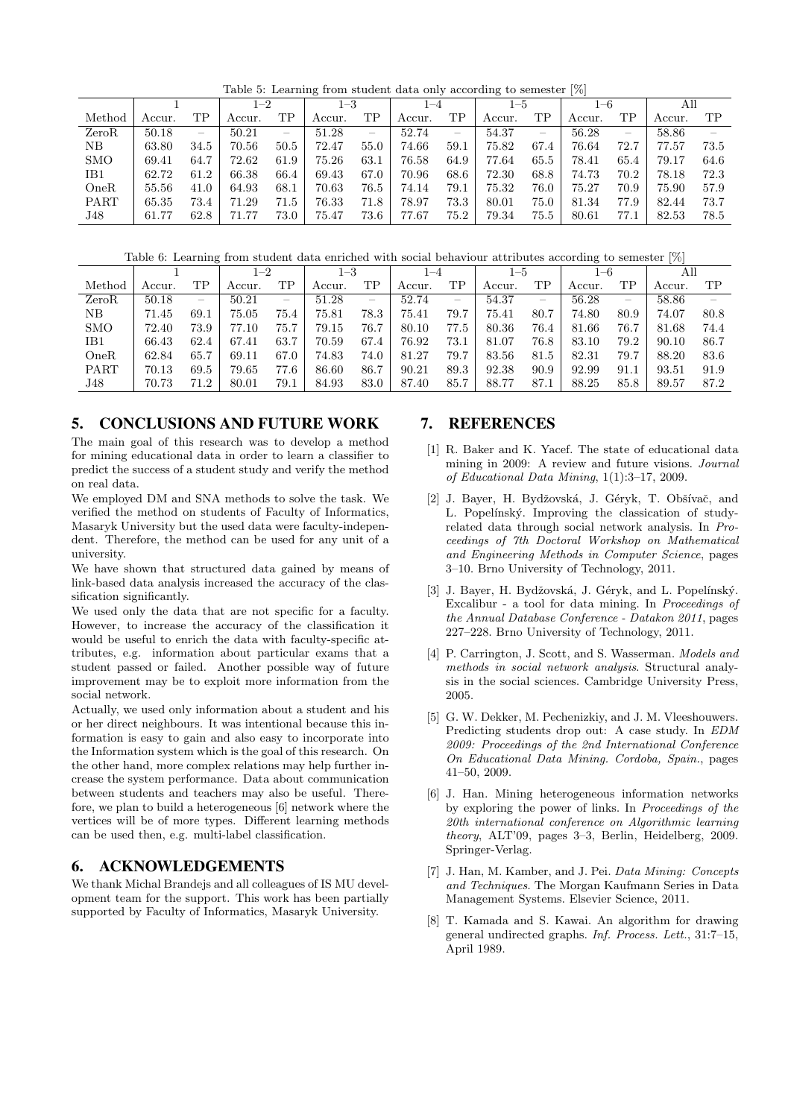Table 5: Learning from student data only according to semester [%]

|            |        |                          | $1 - 2$ |                          | $1 - 3$ |      | $1 - 4$ |      | $1 - 5$ |      | $_{1-6}$ |      | All    |                          |
|------------|--------|--------------------------|---------|--------------------------|---------|------|---------|------|---------|------|----------|------|--------|--------------------------|
| Method     | Accur. | TР                       | Accur.  | TΡ                       | Accur.  | ТP   | Accur.  | TР   | Accur.  | TР   | Accur.   | TP   | Accur. | TP                       |
| ZeroR      | 50.18  | $\overline{\phantom{0}}$ | 50.21   | $\overline{\phantom{0}}$ | 51.28   | –    | 52.74   | –    | 54.37   | –    | 56.28    | –    | 58.86  | $\overline{\phantom{a}}$ |
| NΒ         | 63.80  | 34.5                     | 70.56   | 50.5                     | 72.47   | 55.0 | 74.66   | 59.1 | 75.82   | 67.4 | 76.64    | 72.7 | 77.57  | 73.5                     |
| <b>SMO</b> | 69.41  | 64.7                     | 72.62   | 61.9                     | 75.26   | 63.1 | 76.58   | 64.9 | 77.64   | 65.5 | 78.41    | 65.4 | 79.17  | 64.6                     |
| IB1        | 62.72  | 61.2                     | 66.38   | 66.4                     | 69.43   | 67.0 | 70.96   | 68.6 | 72.30   | 68.8 | 74.73    | 70.2 | 78.18  | 72.3                     |
| OneR       | 55.56  | 41.0                     | 64.93   | 68.1                     | 70.63   | 76.5 | 74.14   | 79.1 | 75.32   | 76.0 | 75.27    | 70.9 | 75.90  | 57.9                     |
| PART       | 65.35  | 73.4                     | 71.29   | 71.5                     | 76.33   | 71.8 | 78.97   | 73.3 | 80.01   | 75.0 | 81.34    | 77.9 | 82.44  | 73.7                     |
| J48        | 61.77  | 62.8                     |         | 73.0                     | 75.47   | 73.6 | 77.67   | 75.2 | 79.34   | 75.5 | 80.61    | 77.  | 82.53  | 78.5                     |

Table 6: Learning from student data enriched with social behaviour attributes according to semester [%]

|             | $1 - 2$ |                          | $_{1-3}$ |      | 1–4    |                   | 1–5    |      | $_{\rm 1-6}$ |      | . .<br>All |                          |        |      |
|-------------|---------|--------------------------|----------|------|--------|-------------------|--------|------|--------------|------|------------|--------------------------|--------|------|
| Method      | Accur.  | TР                       | Accur.   | ΤP   | Accur. | ΤP                | Accur. | TΡ   | Accur.       | ТP   | Accur.     | TP                       | Accur. | TP   |
| ZeroR       | 50.18   | $\overline{\phantom{m}}$ | 50.21    |      | 51.28  | $\hspace{0.05cm}$ | 52.74  |      | 54.37        | -    | 56.28      | $\overline{\phantom{0}}$ | 58.86  |      |
| NΒ          | 71.45   | 69.1                     | 75.05    | 75.4 | 75.81  | 78.3              | 75.41  | 79.7 | 75.41        | 80.7 | 74.80      | 80.9                     | 74.07  | 80.8 |
| <b>SMO</b>  | 72.40   | 73.9                     | 77.10    | 75.7 | 79.15  | 76.7              | 80.10  | 77.5 | 80.36        | 76.4 | 81.66      | 76.7                     | 81.68  | 74.4 |
| IB1         | 66.43   | 62.4                     | 67.41    | 63.7 | 70.59  | 67.4              | 76.92  | 73.1 | 81.07        | 76.8 | 83.10      | 79.2                     | 90.10  | 86.7 |
| OneR        | 62.84   | 65.7                     | 69.11    | 67.0 | 74.83  | 74.0              | 81.27  | 79.7 | 83.56        | 81.5 | 82.31      | 79.7                     | 88.20  | 83.6 |
| <b>PART</b> | 70.13   | 69.5                     | 79.65    | 77.6 | 86.60  | 86.7              | 90.21  | 89.3 | 92.38        | 90.9 | 92.99      | 91.1                     | 93.51  | 91.9 |
| J48         | 70.73   | 71.2                     | 80.01    | 79.1 | 84.93  | 83.0              | 87.40  | 85.7 | 88.77        | 87.1 | 88.25      | 85.8                     | 89.57  | 87.2 |

#### 5. CONCLUSIONS AND FUTURE WORK

The main goal of this research was to develop a method for mining educational data in order to learn a classifier to predict the success of a student study and verify the method on real data.

We employed DM and SNA methods to solve the task. We verified the method on students of Faculty of Informatics, Masaryk University but the used data were faculty-independent. Therefore, the method can be used for any unit of a university.

We have shown that structured data gained by means of link-based data analysis increased the accuracy of the classification significantly.

We used only the data that are not specific for a faculty. However, to increase the accuracy of the classification it would be useful to enrich the data with faculty-specific attributes, e.g. information about particular exams that a student passed or failed. Another possible way of future improvement may be to exploit more information from the social network.

Actually, we used only information about a student and his or her direct neighbours. It was intentional because this information is easy to gain and also easy to incorporate into the Information system which is the goal of this research. On the other hand, more complex relations may help further increase the system performance. Data about communication between students and teachers may also be useful. Therefore, we plan to build a heterogeneous [6] network where the vertices will be of more types. Different learning methods can be used then, e.g. multi-label classification.

#### 6. ACKNOWLEDGEMENTS

We thank Michal Brandejs and all colleagues of IS MU development team for the support. This work has been partially supported by Faculty of Informatics, Masaryk University.

#### 7. REFERENCES

- [1] R. Baker and K. Yacef. The state of educational data mining in 2009: A review and future visions. Journal of Educational Data Mining, 1(1):3–17, 2009.
- [2] J. Bayer, H. Bydžovská, J. Géryk, T. Obšívač, and L. Popelínský. Improving the classication of studyrelated data through social network analysis. In Proceedings of 7th Doctoral Workshop on Mathematical and Engineering Methods in Computer Science, pages 3–10. Brno University of Technology, 2011.
- [3] J. Bayer, H. Bydžovská, J. Géryk, and L. Popelínský. Excalibur - a tool for data mining. In Proceedings of the Annual Database Conference - Datakon 2011, pages 227–228. Brno University of Technology, 2011.
- [4] P. Carrington, J. Scott, and S. Wasserman. Models and methods in social network analysis. Structural analysis in the social sciences. Cambridge University Press, 2005.
- [5] G. W. Dekker, M. Pechenizkiy, and J. M. Vleeshouwers. Predicting students drop out: A case study. In EDM 2009: Proceedings of the 2nd International Conference On Educational Data Mining. Cordoba, Spain., pages 41–50, 2009.
- [6] J. Han. Mining heterogeneous information networks by exploring the power of links. In Proceedings of the 20th international conference on Algorithmic learning theory, ALT'09, pages 3–3, Berlin, Heidelberg, 2009. Springer-Verlag.
- [7] J. Han, M. Kamber, and J. Pei. Data Mining: Concepts and Techniques. The Morgan Kaufmann Series in Data Management Systems. Elsevier Science, 2011.
- [8] T. Kamada and S. Kawai. An algorithm for drawing general undirected graphs. Inf. Process. Lett., 31:7–15, April 1989.